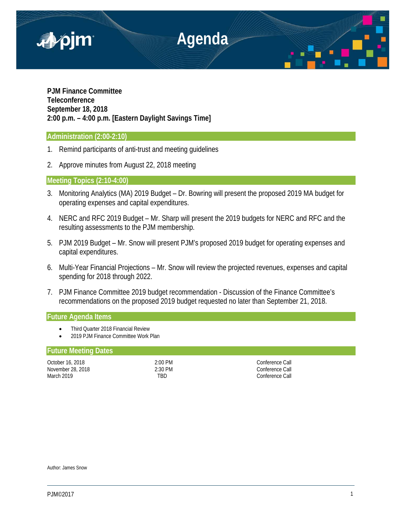

# **PJM Finance Committee Teleconference September 18, 2018 2:00 p.m. – 4:00 p.m. [Eastern Daylight Savings Time]**

# **Administration (2:00-2:10)**

- 1. Remind participants of anti-trust and meeting guidelines
- 2. Approve minutes from August 22, 2018 meeting

# **Meeting Topics (2:10-4:00)**

- 3. Monitoring Analytics (MA) 2019 Budget Dr. Bowring will present the proposed 2019 MA budget for operating expenses and capital expenditures.
- 4. NERC and RFC 2019 Budget Mr. Sharp will present the 2019 budgets for NERC and RFC and the resulting assessments to the PJM membership.
- 5. PJM 2019 Budget Mr. Snow will present PJM's proposed 2019 budget for operating expenses and capital expenditures.
- 6. Multi-Year Financial Projections Mr. Snow will review the projected revenues, expenses and capital spending for 2018 through 2022.
- 7. PJM Finance Committee 2019 budget recommendation Discussion of the Finance Committee's recommendations on the proposed 2019 budget requested no later than September 21, 2018.

# **Future Agenda Items**

- Third Quarter 2018 Financial Review
- 2019 PJM Finance Committee Work Plan

### **Future Meeting Dates**

October 16, 2018 **2:00 PM** 2:00 PM November 28, 2018 2:30 PM 2:30 PM 2:30 PM 2:30 PM 2:30 PM 2:30 PM 2:30 PM 2:30 PM 2:30 PM 2:30 PM 2:30 PM 2:30 PM 2:30 PM 2:30 PM 2:30 PM 2:30 PM 2:30 PM 2:30 PM 2:30 PM 2:30 PM 2:30 PM 2:30 PM 2:30 PM 2:30 PM 2:30 PM 2:30 March 2019 **TBD** TBD **Conference Call** 

Author: James Snow